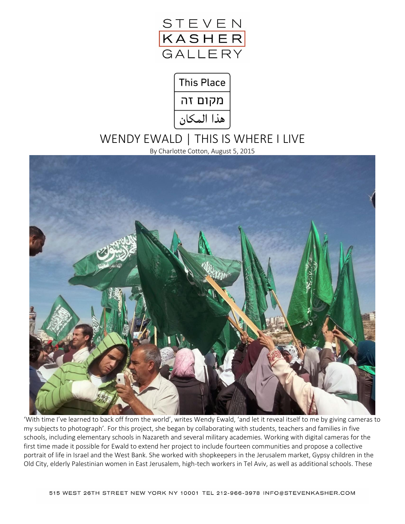



# WENDY EWALD | THIS IS WHERE I LIVE

By Charlotte Cotton, August 5, 2015



'With time I've learned to back off from the world', writes Wendy Ewald, 'and let it reveal itself to me by giving cameras to my subjects to photograph'. For this project, she began by collaborating with students, teachers and families in five schools, including elementary schools in Nazareth and several military academies. Working with digital cameras for the first time made it possible for Ewald to extend her project to include fourteen communities and propose a collective portrait of life in Israel and the West Bank. She worked with shopkeepers in the Jerusalem market, Gypsy children in the Old City, elderly Palestinian women in East Jerusalem, high-tech workers in Tel Aviv, as well as additional schools. These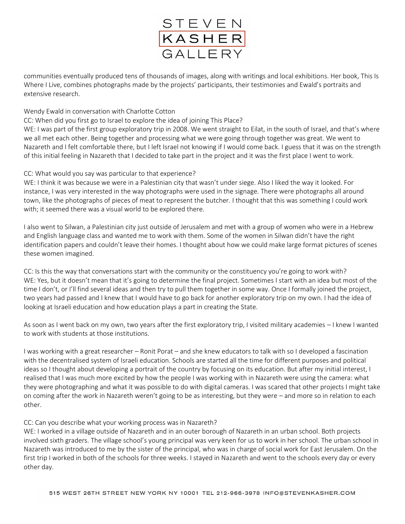

communities eventually produced tens of thousands of images, along with writings and local exhibitions. Her book, This Is Where I Live, combines photographs made by the projects' participants, their testimonies and Ewald's portraits and extensive research.

### Wendy Ewald in conversation with Charlotte Cotton

CC: When did you first go to Israel to explore the idea of joining This Place?

WE: I was part of the first group exploratory trip in 2008. We went straight to Eilat, in the south of Israel, and that's where we all met each other. Being together and processing what we were going through together was great. We went to Nazareth and I felt comfortable there, but I left Israel not knowing if I would come back. I guess that it was on the strength of this initial feeling in Nazareth that I decided to take part in the project and it was the first place I went to work.

#### CC: What would you say was particular to that experience?

WE: I think it was because we were in a Palestinian city that wasn't under siege. Also I liked the way it looked. For instance, I was very interested in the way photographs were used in the signage. There were photographs all around town, like the photographs of pieces of meat to represent the butcher. I thought that this was something I could work with; it seemed there was a visual world to be explored there.

I also went to Silwan, a Palestinian city just outside of Jerusalem and met with a group of women who were in a Hebrew and English language class and wanted me to work with them. Some of the women in Silwan didn't have the right identification papers and couldn't leave their homes. I thought about how we could make large format pictures of scenes these women imagined.

CC: Is this the way that conversations start with the community or the constituency you're going to work with? WE: Yes, but it doesn't mean that it's going to determine the final project. Sometimes I start with an idea but most of the time I don't, or I'll find several ideas and then try to pull them together in some way. Once I formally joined the project, two years had passed and I knew that I would have to go back for another exploratory trip on my own. I had the idea of looking at Israeli education and how education plays a part in creating the State.

As soon as I went back on my own, two years after the first exploratory trip, I visited military academies – I knew I wanted to work with students at those institutions.

I was working with a great researcher – Ronit Porat – and she knew educators to talk with so I developed a fascination with the decentralised system of Israeli education. Schools are started all the time for different purposes and political ideas so I thought about developing a portrait of the country by focusing on its education. But after my initial interest, I realised that I was much more excited by how the people I was working with in Nazareth were using the camera: what they were photographing and what it was possible to do with digital cameras. I was scared that other projects I might take on coming after the work in Nazareth weren't going to be as interesting, but they were – and more so in relation to each other.

#### CC: Can you describe what your working process was in Nazareth?

WE: I worked in a village outside of Nazareth and in an outer borough of Nazareth in an urban school. Both projects involved sixth graders. The village school's young principal was very keen for us to work in her school. The urban school in Nazareth was introduced to me by the sister of the principal, who was in charge of social work for East Jerusalem. On the first trip I worked in both of the schools for three weeks. I stayed in Nazareth and went to the schools every day or every other day.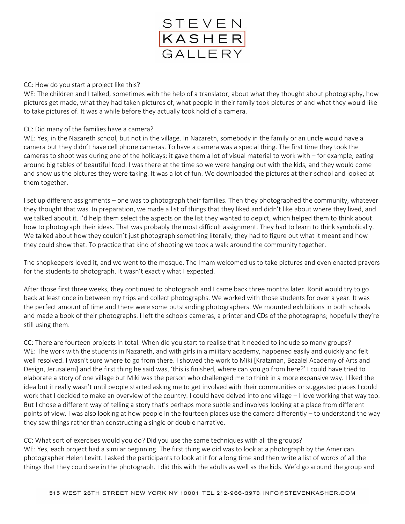

#### CC: How do you start a project like this?

WE: The children and I talked, sometimes with the help of a translator, about what they thought about photography, how pictures get made, what they had taken pictures of, what people in their family took pictures of and what they would like to take pictures of. It was a while before they actually took hold of a camera.

#### CC: Did many of the families have a camera?

WE: Yes, in the Nazareth school, but not in the village. In Nazareth, somebody in the family or an uncle would have a camera but they didn't have cell phone cameras. To have a camera was a special thing. The first time they took the cameras to shoot was during one of the holidays; it gave them a lot of visual material to work with – for example, eating around big tables of beautiful food. I was there at the time so we were hanging out with the kids, and they would come and show us the pictures they were taking. It was a lot of fun. We downloaded the pictures at their school and looked at them together.

I set up different assignments – one was to photograph their families. Then they photographed the community, whatever they thought that was. In preparation, we made a list of things that they liked and didn't like about where they lived, and we talked about it. I'd help them select the aspects on the list they wanted to depict, which helped them to think about how to photograph their ideas. That was probably the most difficult assignment. They had to learn to think symbolically. We talked about how they couldn't just photograph something literally; they had to figure out what it meant and how they could show that. To practice that kind of shooting we took a walk around the community together.

The shopkeepers loved it, and we went to the mosque. The Imam welcomed us to take pictures and even enacted prayers for the students to photograph. It wasn't exactly what I expected.

After those first three weeks, they continued to photograph and I came back three months later. Ronit would try to go back at least once in between my trips and collect photographs. We worked with those students for over a year. It was the perfect amount of time and there were some outstanding photographers. We mounted exhibitions in both schools and made a book of their photographs. I left the schools cameras, a printer and CDs of the photographs; hopefully they're still using them.

CC: There are fourteen projects in total. When did you start to realise that it needed to include so many groups? WE: The work with the students in Nazareth, and with girls in a military academy, happened easily and quickly and felt well resolved. I wasn't sure where to go from there. I showed the work to Miki [Kratzman, Bezalel Academy of Arts and Design, Jerusalem] and the first thing he said was, 'this is finished, where can you go from here?' I could have tried to elaborate a story of one village but Miki was the person who challenged me to think in a more expansive way. I liked the idea but it really wasn't until people started asking me to get involved with their communities or suggested places I could work that I decided to make an overview of the country. I could have delved into one village – I love working that way too. But I chose a different way of telling a story that's perhaps more subtle and involves looking at a place from different points of view. I was also looking at how people in the fourteen places use the camera differently – to understand the way they saw things rather than constructing a single or double narrative.

CC: What sort of exercises would you do? Did you use the same techniques with all the groups? WE: Yes, each project had a similar beginning. The first thing we did was to look at a photograph by the American photographer Helen Levitt. I asked the participants to look at it for a long time and then write a list of words of all the things that they could see in the photograph. I did this with the adults as well as the kids. We'd go around the group and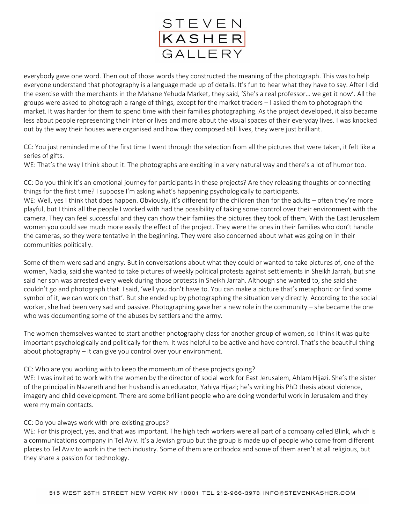

everybody gave one word. Then out of those words they constructed the meaning of the photograph. This was to help everyone understand that photography is a language made up of details. It's fun to hear what they have to say. After I did the exercise with the merchants in the Mahane Yehuda Market, they said, 'She's a real professor… we get it now'. All the groups were asked to photograph a range of things, except for the market traders – I asked them to photograph the market. It was harder for them to spend time with their families photographing. As the project developed, it also became less about people representing their interior lives and more about the visual spaces of their everyday lives. I was knocked out by the way their houses were organised and how they composed still lives, they were just brilliant.

CC: You just reminded me of the first time I went through the selection from all the pictures that were taken, it felt like a series of gifts.

WE: That's the way I think about it. The photographs are exciting in a very natural way and there's a lot of humor too.

CC: Do you think it's an emotional journey for participants in these projects? Are they releasing thoughts or connecting things for the first time? I suppose I'm asking what's happening psychologically to participants.

WE: Well, yes I think that does happen. Obviously, it's different for the children than for the adults – often they're more playful, but I think all the people I worked with had the possibility of taking some control over their environment with the camera. They can feel successful and they can show their families the pictures they took of them. With the East Jerusalem women you could see much more easily the effect of the project. They were the ones in their families who don't handle the cameras, so they were tentative in the beginning. They were also concerned about what was going on in their communities politically.

Some of them were sad and angry. But in conversations about what they could or wanted to take pictures of, one of the women, Nadia, said she wanted to take pictures of weekly political protests against settlements in Sheikh Jarrah, but she said her son was arrested every week during those protests in Sheikh Jarrah. Although she wanted to, she said she couldn't go and photograph that. I said, 'well you don't have to. You can make a picture that's metaphoric or find some symbol of it, we can work on that'. But she ended up by photographing the situation very directly. According to the social worker, she had been very sad and passive. Photographing gave her a new role in the community – she became the one who was documenting some of the abuses by settlers and the army.

The women themselves wanted to start another photography class for another group of women, so I think it was quite important psychologically and politically for them. It was helpful to be active and have control. That's the beautiful thing about photography – it can give you control over your environment.

CC: Who are you working with to keep the momentum of these projects going?

WE: I was invited to work with the women by the director of social work for East Jerusalem, Ahlam Hijazi. She's the sister of the principal in Nazareth and her husband is an educator, Yahiya Hijazi; he's writing his PhD thesis about violence, imagery and child development. There are some brilliant people who are doing wonderful work in Jerusalem and they were my main contacts.

#### CC: Do you always work with pre-existing groups?

WE: For this project, yes, and that was important. The high tech workers were all part of a company called Blink, which is a communications company in Tel Aviv. It's a Jewish group but the group is made up of people who come from different places to Tel Aviv to work in the tech industry. Some of them are orthodox and some of them aren't at all religious, but they share a passion for technology.